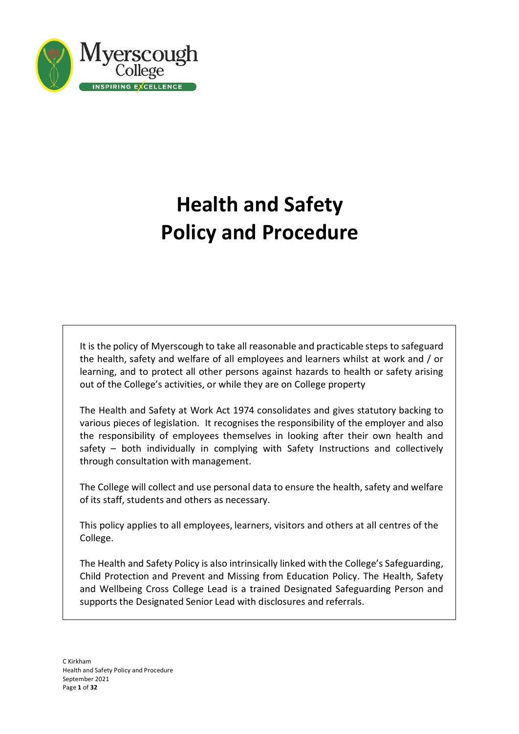

# **Health and Safety Policy and Procedure**

It is the policy of Myerscough to take all reasonable and practicable steps to safeguard the health, safety and welfare of all employees and learners whilst at work and / or learning, and to protect all other persons against hazards to health or safety arising out of the College's activities, or while they are on College property

The Health and Safety at Work Act 1974 consolidates and gives statutory backing to various pieces of legislation. It recognises the responsibility of the employer and also the responsibility of employees themselves in looking after their own health and safety – both individually in complying with Safety Instructions and collectively through consultation with management.

The College will collect and use personal data to ensure the health, safety and welfare of its staff, students and others as necessary.

This policy applies to all employees, learners, visitors and others at all centres of the College.

The Health and Safety Policy is also intrinsically linked with the College's Safeguarding, Child Protection and Prevent and Missing from Education Policy. The Health, Safety and Wellbeing Cross College Lead is a trained Designated Safeguarding Person and supports the Designated Senior Lead with disclosures and referrals.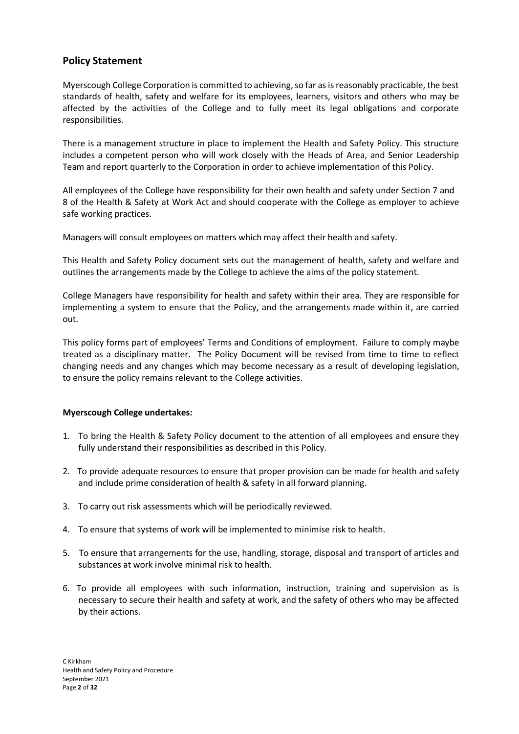# **Policy Statement**

Myerscough College Corporation is committed to achieving,so far as isreasonably practicable, the best standards of health, safety and welfare for its employees, learners, visitors and others who may be affected by the activities of the College and to fully meet its legal obligations and corporate responsibilities.

There is a management structure in place to implement the Health and Safety Policy. This structure includes a competent person who will work closely with the Heads of Area, and Senior Leadership Team and report quarterly to the Corporation in order to achieve implementation of this Policy.

All employees of the College have responsibility for their own health and safety under Section 7 and 8 of the Health & Safety at Work Act and should cooperate with the College as employer to achieve safe working practices.

Managers will consult employees on matters which may affect their health and safety.

This Health and Safety Policy document sets out the management of health, safety and welfare and outlines the arrangements made by the College to achieve the aims of the policy statement.

College Managers have responsibility for health and safety within their area. They are responsible for implementing a system to ensure that the Policy, and the arrangements made within it, are carried out.

This policy forms part of employees' Terms and Conditions of employment. Failure to comply maybe treated as a disciplinary matter. The Policy Document will be revised from time to time to reflect changing needs and any changes which may become necessary as a result of developing legislation, to ensure the policy remains relevant to the College activities.

# **Myerscough College undertakes:**

- 1. To bring the Health & Safety Policy document to the attention of all employees and ensure they fully understand their responsibilities as described in this Policy.
- 2. To provide adequate resources to ensure that proper provision can be made for health and safety and include prime consideration of health & safety in all forward planning.
- 3. To carry out risk assessments which will be periodically reviewed.
- 4. To ensure that systems of work will be implemented to minimise risk to health.
- 5. To ensure that arrangements for the use, handling, storage, disposal and transport of articles and substances at work involve minimal risk to health.
- 6. To provide all employees with such information, instruction, training and supervision as is necessary to secure their health and safety at work, and the safety of others who may be affected by their actions.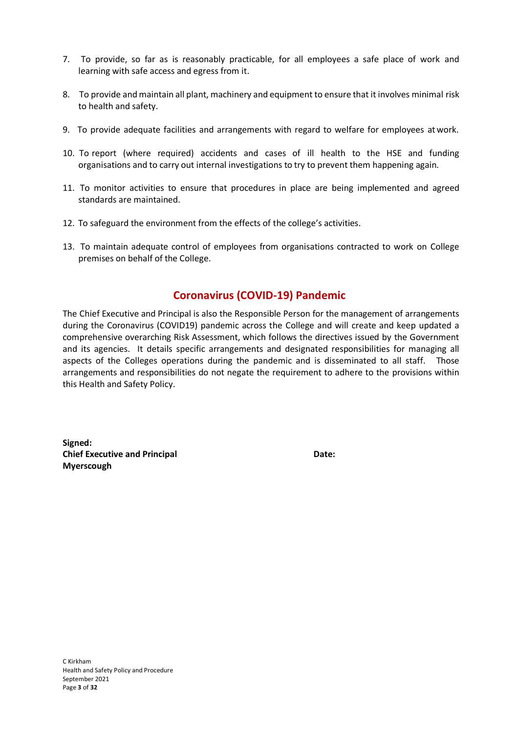- 7. To provide, so far as is reasonably practicable, for all employees a safe place of work and learning with safe access and egress from it.
- 8. To provide and maintain all plant, machinery and equipment to ensure that it involves minimal risk to health and safety.
- 9. To provide adequate facilities and arrangements with regard to welfare for employees at work.
- 10. To report (where required) accidents and cases of ill health to the HSE and funding organisations and to carry out internal investigations to try to prevent them happening again.
- 11. To monitor activities to ensure that procedures in place are being implemented and agreed standards are maintained.
- 12. To safeguard the environment from the effects of the college's activities.
- 13. To maintain adequate control of employees from organisations contracted to work on College premises on behalf of the College.

# **Coronavirus (COVID-19) Pandemic**

The Chief Executive and Principal is also the Responsible Person for the management of arrangements during the Coronavirus (COVID19) pandemic across the College and will create and keep updated a comprehensive overarching Risk Assessment, which follows the directives issued by the Government and its agencies. It details specific arrangements and designated responsibilities for managing all aspects of the Colleges operations during the pandemic and is disseminated to all staff. Those arrangements and responsibilities do not negate the requirement to adhere to the provisions within this Health and Safety Policy.

**Signed: Chief Executive and Principal Date: Myerscough**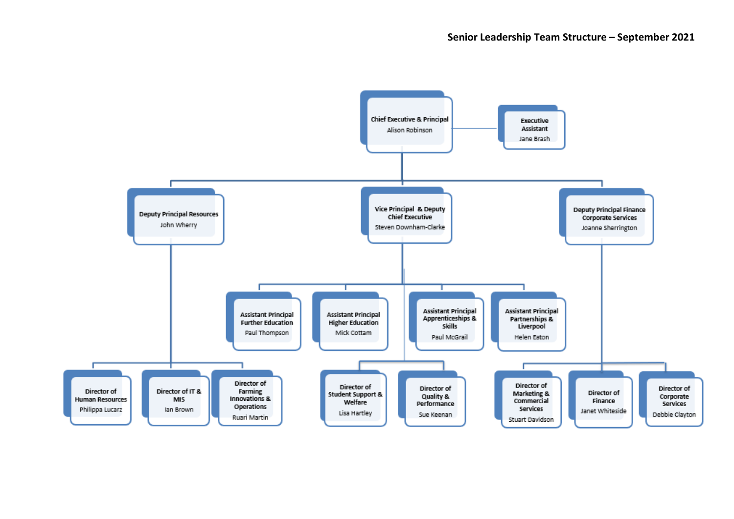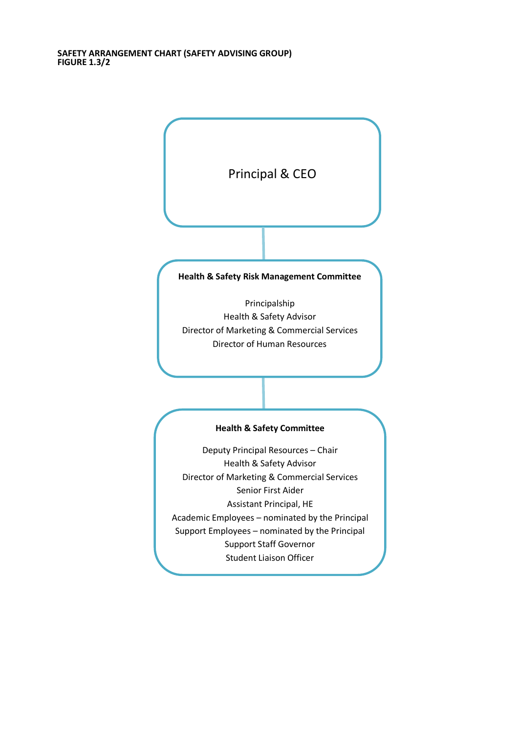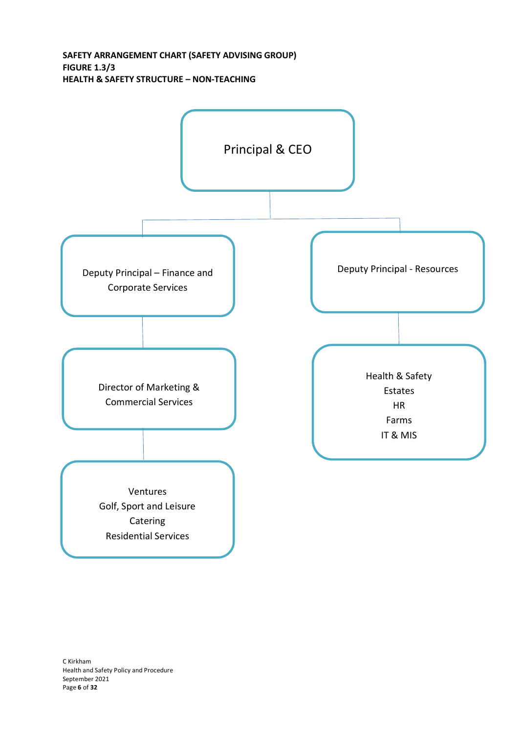**SAFETY ARRANGEMENT CHART (SAFETY ADVISING GROUP) FIGURE 1.3/3 HEALTH & SAFETY STRUCTURE – NON-TEACHING**



C Kirkham Health and Safety Policy and Procedure September 2021 Page **6** of **32**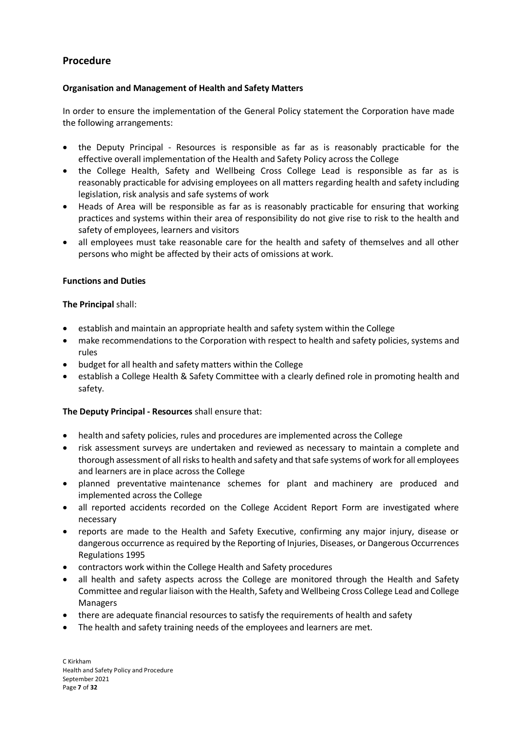# **Procedure**

# **Organisation and Management of Health and Safety Matters**

In order to ensure the implementation of the General Policy statement the Corporation have made the following arrangements:

- the Deputy Principal Resources is responsible as far as is reasonably practicable for the effective overall implementation of the Health and Safety Policy across the College
- the College Health, Safety and Wellbeing Cross College Lead is responsible as far as is reasonably practicable for advising employees on all matters regarding health and safety including legislation, risk analysis and safe systems of work
- Heads of Area will be responsible as far as is reasonably practicable for ensuring that working practices and systems within their area of responsibility do not give rise to risk to the health and safety of employees, learners and visitors
- all employees must take reasonable care for the health and safety of themselves and all other persons who might be affected by their acts of omissions at work.

# **Functions and Duties**

# **The Principal** shall:

- establish and maintain an appropriate health and safety system within the College
- make recommendations to the Corporation with respect to health and safety policies, systems and rules
- budget for all health and safety matters within the College
- establish a College Health & Safety Committee with a clearly defined role in promoting health and safety.

# **The Deputy Principal - Resources** shall ensure that:

- health and safety policies, rules and procedures are implemented across the College
- risk assessment surveys are undertaken and reviewed as necessary to maintain a complete and thorough assessment of all risks to health and safety and that safe systems of work for all employees and learners are in place across the College
- planned preventative maintenance schemes for plant and machinery are produced and implemented across the College
- all reported accidents recorded on the College Accident Report Form are investigated where necessary
- reports are made to the Health and Safety Executive, confirming any major injury, disease or dangerous occurrence as required by the Reporting of Injuries, Diseases, or Dangerous Occurrences Regulations 1995
- contractors work within the College Health and Safety procedures
- all health and safety aspects across the College are monitored through the Health and Safety Committee and regular liaison with the Health, Safety and Wellbeing Cross College Lead and College Managers
- there are adequate financial resources to satisfy the requirements of health and safety
- The health and safety training needs of the employees and learners are met.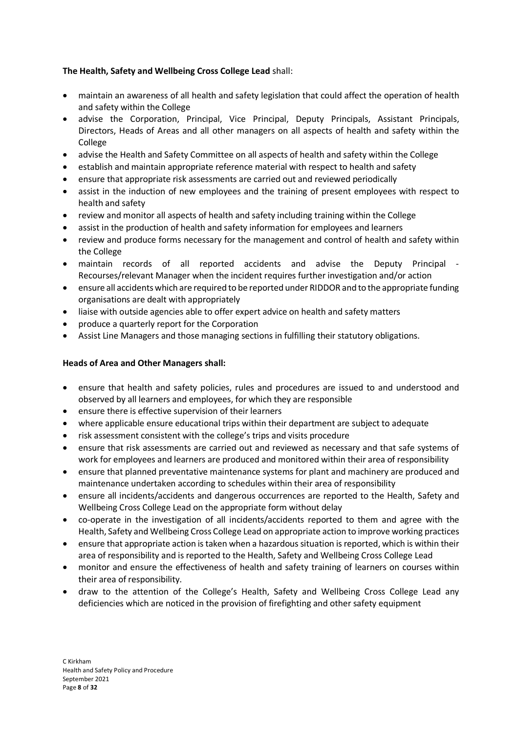# **The Health, Safety and Wellbeing Cross College Lead** shall:

- maintain an awareness of all health and safety legislation that could affect the operation of health and safety within the College
- advise the Corporation, Principal, Vice Principal, Deputy Principals, Assistant Principals, Directors, Heads of Areas and all other managers on all aspects of health and safety within the College
- advise the Health and Safety Committee on all aspects of health and safety within the College
- establish and maintain appropriate reference material with respect to health and safety
- ensure that appropriate risk assessments are carried out and reviewed periodically
- assist in the induction of new employees and the training of present employees with respect to health and safety
- review and monitor all aspects of health and safety including training within the College
- assist in the production of health and safety information for employees and learners
- review and produce forms necessary for the management and control of health and safety within the College
- maintain records of all reported accidents and advise the Deputy Principal Recourses/relevant Manager when the incident requires further investigation and/or action
- ensure all accidents which are required to be reported under RIDDOR and to the appropriate funding organisations are dealt with appropriately
- liaise with outside agencies able to offer expert advice on health and safety matters
- produce a quarterly report for the Corporation
- Assist Line Managers and those managing sections in fulfilling their statutory obligations.

# **Heads of Area and Other Managers shall:**

- ensure that health and safety policies, rules and procedures are issued to and understood and observed by all learners and employees, for which they are responsible
- ensure there is effective supervision of their learners
- where applicable ensure educational trips within their department are subject to adequate
- risk assessment consistent with the college's trips and visits procedure
- ensure that risk assessments are carried out and reviewed as necessary and that safe systems of work for employees and learners are produced and monitored within their area of responsibility
- ensure that planned preventative maintenance systems for plant and machinery are produced and maintenance undertaken according to schedules within their area of responsibility
- ensure all incidents/accidents and dangerous occurrences are reported to the Health, Safety and Wellbeing Cross College Lead on the appropriate form without delay
- co-operate in the investigation of all incidents/accidents reported to them and agree with the Health, Safety and Wellbeing Cross College Lead on appropriate action to improve working practices
- ensure that appropriate action is taken when a hazardous situation is reported, which is within their area of responsibility and is reported to the Health, Safety and Wellbeing Cross College Lead
- monitor and ensure the effectiveness of health and safety training of learners on courses within their area of responsibility.
- draw to the attention of the College's Health, Safety and Wellbeing Cross College Lead any deficiencies which are noticed in the provision of firefighting and other safety equipment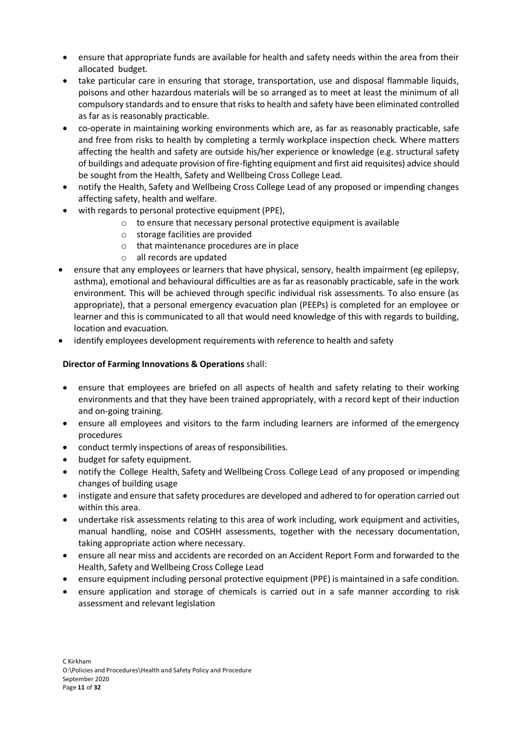- ensure that appropriate funds are available for health and safety needs within the area from their allocated budget.
- take particular care in ensuring that storage, transportation, use and disposal flammable liquids, poisons and other hazardous materials will be so arranged as to meet at least the minimum of all compulsory standards and to ensure that risks to health and safety have been eliminated controlled as far as is reasonably practicable.
- co-operate in maintaining working environments which are, as far as reasonably practicable, safe and free from risks to health by completing a termly workplace inspection check. Where matters affecting the health and safety are outside his/her experience or knowledge (e.g. structural safety of buildings and adequate provision of fire-fighting equipment and first aid requisites) advice should be sought from the Health, Safety and Wellbeing Cross College Lead.
- notify the Health, Safety and Wellbeing Cross College Lead of any proposed or impending changes affecting safety, health and welfare.
- with regards to personal protective equipment (PPE),
	- o to ensure that necessary personal protective equipment is available
	- o storage facilities are provided
	- o that maintenance procedures are in place
	- o all records are updated
- ensure that any employees or learners that have physical, sensory, health impairment (eg epilepsy, asthma), emotional and behavioural difficulties are as far as reasonably practicable, safe in the work environment. This will be achieved through specific individual risk assessments. To also ensure (as appropriate), that a personal emergency evacuation plan (PEEPs) is completed for an employee or learner and this is communicated to all that would need knowledge of this with regards to building, location and evacuation.
- identify employees development requirements with reference to health and safety

# **Director of Farming Innovations & Operations** shall:

- ensure that employees are briefed on all aspects of health and safety relating to their working environments and that they have been trained appropriately, with a record kept of their induction and on-going training.
- ensure all employees and visitors to the farm including learners are informed of the emergency procedures
- conduct termly inspections of areas of responsibilities.
- budget for safety equipment.
- notify the College Health, Safety and Wellbeing Cross College Lead of any proposed or impending changes of building usage
- instigate and ensure that safety procedures are developed and adhered to for operation carried out within this area.
- undertake risk assessments relating to this area of work including, work equipment and activities, manual handling, noise and COSHH assessments, together with the necessary documentation, taking appropriate action where necessary.
- ensure all near miss and accidents are recorded on an Accident Report Form and forwarded to the Health, Safety and Wellbeing Cross College Lead
- ensure equipment including personal protective equipment (PPE) is maintained in a safe condition.
- ensure application and storage of chemicals is carried out in a safe manner according to risk assessment and relevant legislation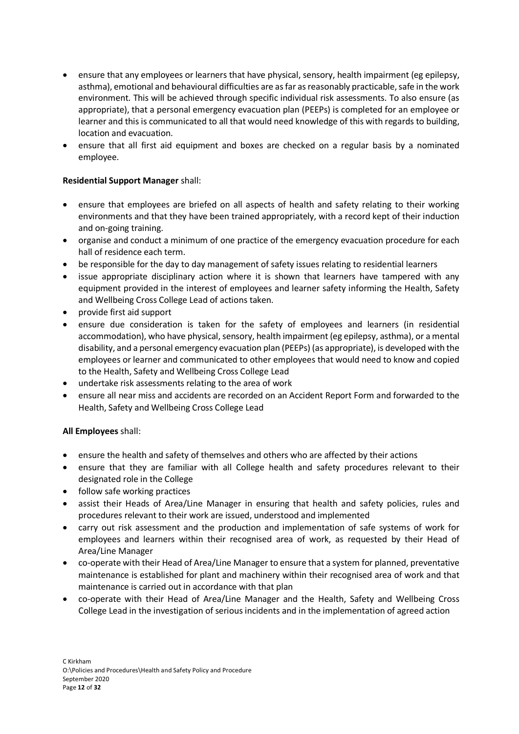- ensure that any employees or learners that have physical, sensory, health impairment (eg epilepsy, asthma), emotional and behavioural difficulties are as far as reasonably practicable, safe in the work environment. This will be achieved through specific individual risk assessments. To also ensure (as appropriate), that a personal emergency evacuation plan (PEEPs) is completed for an employee or learner and this is communicated to all that would need knowledge of this with regards to building, location and evacuation.
- ensure that all first aid equipment and boxes are checked on a regular basis by a nominated employee.

# **Residential Support Manager** shall:

- ensure that employees are briefed on all aspects of health and safety relating to their working environments and that they have been trained appropriately, with a record kept of their induction and on-going training.
- organise and conduct a minimum of one practice of the emergency evacuation procedure for each hall of residence each term.
- be responsible for the day to day management of safety issues relating to residential learners
- issue appropriate disciplinary action where it is shown that learners have tampered with any equipment provided in the interest of employees and learner safety informing the Health, Safety and Wellbeing Cross College Lead of actions taken.
- provide first aid support
- ensure due consideration is taken for the safety of employees and learners (in residential accommodation), who have physical, sensory, health impairment (eg epilepsy, asthma), or a mental disability, and a personal emergency evacuation plan (PEEPs) (as appropriate), is developed with the employees or learner and communicated to other employees that would need to know and copied to the Health, Safety and Wellbeing Cross College Lead
- undertake risk assessments relating to the area of work
- ensure all near miss and accidents are recorded on an Accident Report Form and forwarded to the Health, Safety and Wellbeing Cross College Lead

# **All Employees** shall:

- ensure the health and safety of themselves and others who are affected by their actions
- ensure that they are familiar with all College health and safety procedures relevant to their designated role in the College
- follow safe working practices
- assist their Heads of Area/Line Manager in ensuring that health and safety policies, rules and procedures relevant to their work are issued, understood and implemented
- carry out risk assessment and the production and implementation of safe systems of work for employees and learners within their recognised area of work, as requested by their Head of Area/Line Manager
- co-operate with their Head of Area/Line Manager to ensure that a system for planned, preventative maintenance is established for plant and machinery within their recognised area of work and that maintenance is carried out in accordance with that plan
- co-operate with their Head of Area/Line Manager and the Health, Safety and Wellbeing Cross College Lead in the investigation of serious incidents and in the implementation of agreed action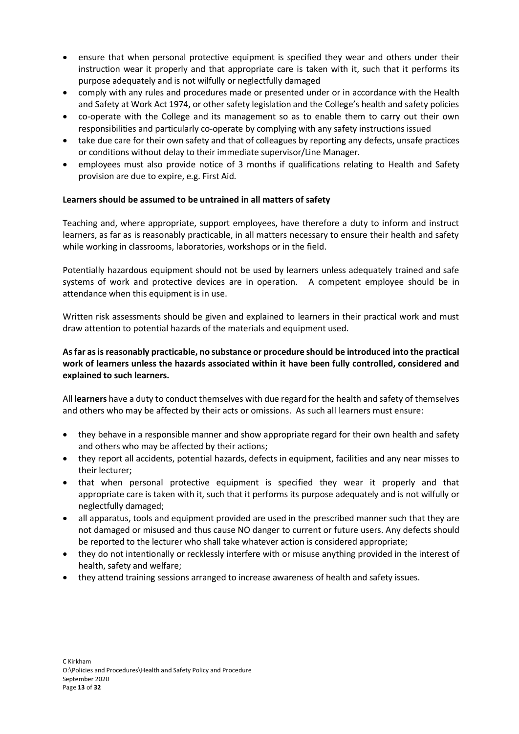- ensure that when personal protective equipment is specified they wear and others under their instruction wear it properly and that appropriate care is taken with it, such that it performs its purpose adequately and is not wilfully or neglectfully damaged
- comply with any rules and procedures made or presented under or in accordance with the Health and Safety at Work Act 1974, or other safety legislation and the College's health and safety policies
- co-operate with the College and its management so as to enable them to carry out their own responsibilities and particularly co-operate by complying with any safety instructions issued
- take due care for their own safety and that of colleagues by reporting any defects, unsafe practices or conditions without delay to their immediate supervisor/Line Manager.
- employees must also provide notice of 3 months if qualifications relating to Health and Safety provision are due to expire, e.g. First Aid.

# **Learners should be assumed to be untrained in all matters of safety**

Teaching and, where appropriate, support employees, have therefore a duty to inform and instruct learners, as far as is reasonably practicable, in all matters necessary to ensure their health and safety while working in classrooms, laboratories, workshops or in the field.

Potentially hazardous equipment should not be used by learners unless adequately trained and safe systems of work and protective devices are in operation. A competent employee should be in attendance when this equipment is in use.

Written risk assessments should be given and explained to learners in their practical work and must draw attention to potential hazards of the materials and equipment used.

# **Asfar asis reasonably practicable, no substance or procedure should be introduced into the practical work of learners unless the hazards associated within it have been fully controlled, considered and explained to such learners.**

All **learners** have a duty to conduct themselves with due regard for the health and safety of themselves and others who may be affected by their acts or omissions. As such all learners must ensure:

- they behave in a responsible manner and show appropriate regard for their own health and safety and others who may be affected by their actions;
- they report all accidents, potential hazards, defects in equipment, facilities and any near misses to their lecturer;
- that when personal protective equipment is specified they wear it properly and that appropriate care is taken with it, such that it performs its purpose adequately and is not wilfully or neglectfully damaged;
- all apparatus, tools and equipment provided are used in the prescribed manner such that they are not damaged or misused and thus cause NO danger to current or future users. Any defects should be reported to the lecturer who shall take whatever action is considered appropriate;
- they do not intentionally or recklessly interfere with or misuse anything provided in the interest of health, safety and welfare;
- they attend training sessions arranged to increase awareness of health and safety issues.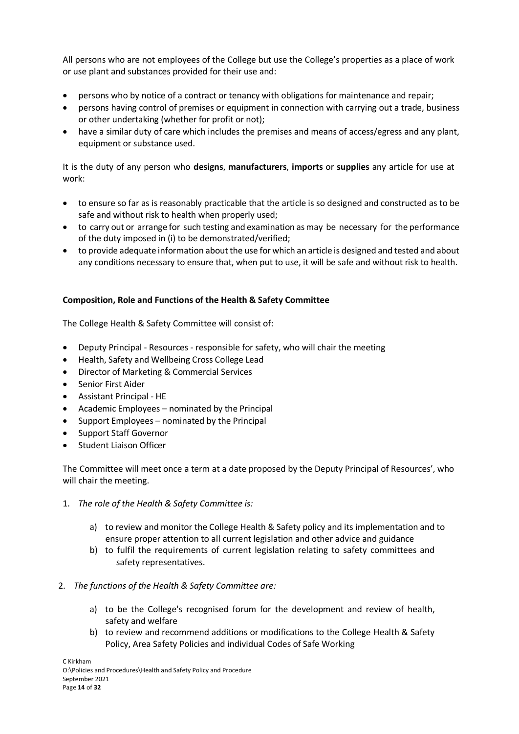All persons who are not employees of the College but use the College's properties as a place of work or use plant and substances provided for their use and:

- persons who by notice of a contract or tenancy with obligations for maintenance and repair;
- persons having control of premises or equipment in connection with carrying out a trade, business or other undertaking (whether for profit or not);
- have a similar duty of care which includes the premises and means of access/egress and any plant, equipment or substance used.

It is the duty of any person who **designs**, **manufacturers**, **imports** or **supplies** any article for use at work:

- to ensure so far as is reasonably practicable that the article is so designed and constructed as to be safe and without risk to health when properly used;
- to carry out or arrange for such testing and examination as may be necessary for the performance of the duty imposed in (i) to be demonstrated/verified;
- to provide adequate information about the use for which an article is designed and tested and about any conditions necessary to ensure that, when put to use, it will be safe and without risk to health.

# **Composition, Role and Functions of the Health & Safety Committee**

The College Health & Safety Committee will consist of:

- Deputy Principal Resources responsible for safety, who will chair the meeting
- Health, Safety and Wellbeing Cross College Lead
- Director of Marketing & Commercial Services
- Senior First Aider
- Assistant Principal HE
- Academic Employees nominated by the Principal
- Support Employees nominated by the Principal
- Support Staff Governor
- Student Liaison Officer

The Committee will meet once a term at a date proposed by the Deputy Principal of Resources', who will chair the meeting.

- 1. *The role of the Health & Safety Committee is:*
	- a) to review and monitor the College Health & Safety policy and its implementation and to ensure proper attention to all current legislation and other advice and guidance
	- b) to fulfil the requirements of current legislation relating to safety committees and safety representatives.
- 2. *The functions of the Health & Safety Committee are:*
	- a) to be the College's recognised forum for the development and review of health, safety and welfare
	- b) to review and recommend additions or modifications to the College Health & Safety Policy, Area Safety Policies and individual Codes of Safe Working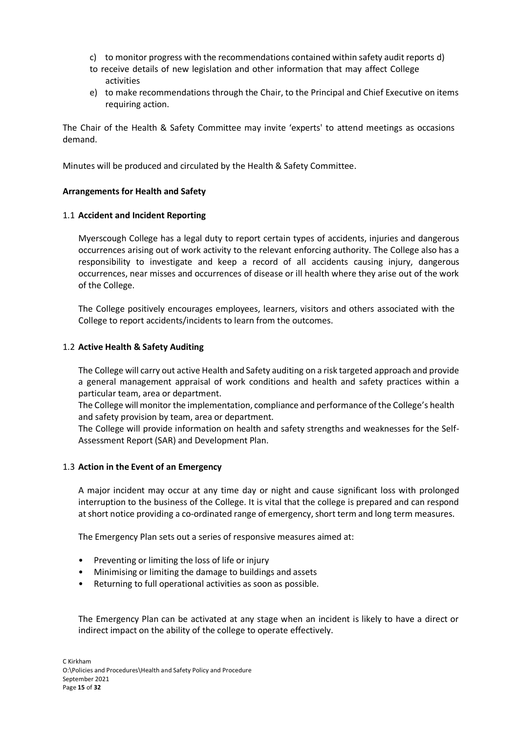- c) to monitor progress with the recommendations contained within safety audit reports d)
- to receive details of new legislation and other information that may affect College activities
- e) to make recommendations through the Chair, to the Principal and Chief Executive on items requiring action.

The Chair of the Health & Safety Committee may invite 'experts' to attend meetings as occasions demand.

Minutes will be produced and circulated by the Health & Safety Committee.

# **Arrangements for Health and Safety**

# 1.1 **Accident and Incident Reporting**

Myerscough College has a legal duty to report certain types of accidents, injuries and dangerous occurrences arising out of work activity to the relevant enforcing authority. The College also has a responsibility to investigate and keep a record of all accidents causing injury, dangerous occurrences, near misses and occurrences of disease or ill health where they arise out of the work of the College.

The College positively encourages employees, learners, visitors and others associated with the College to report accidents/incidents to learn from the outcomes.

# 1.2 **Active Health & Safety Auditing**

The College will carry out active Health and Safety auditing on a risk targeted approach and provide a general management appraisal of work conditions and health and safety practices within a particular team, area or department.

The College will monitor the implementation, compliance and performance ofthe College's health and safety provision by team, area or department.

The College will provide information on health and safety strengths and weaknesses for the Self-Assessment Report (SAR) and Development Plan.

# 1.3 **Action in the Event of an Emergency**

A major incident may occur at any time day or night and cause significant loss with prolonged interruption to the business of the College. It is vital that the college is prepared and can respond at short notice providing a co-ordinated range of emergency, short term and long term measures.

The Emergency Plan sets out a series of responsive measures aimed at:

- Preventing or limiting the loss of life or injury
- Minimising or limiting the damage to buildings and assets
- Returning to full operational activities as soon as possible.

The Emergency Plan can be activated at any stage when an incident is likely to have a direct or indirect impact on the ability of the college to operate effectively.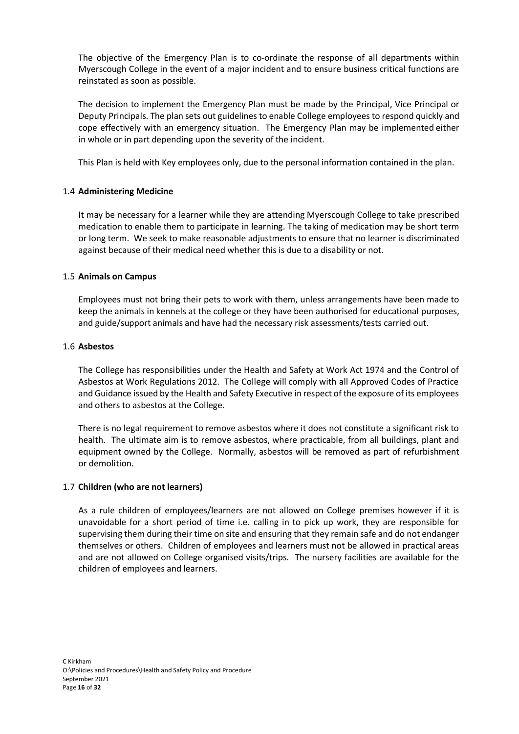The objective of the Emergency Plan is to co-ordinate the response of all departments within Myerscough College in the event of a major incident and to ensure business critical functions are reinstated as soon as possible.

The decision to implement the Emergency Plan must be made by the Principal, Vice Principal or Deputy Principals. The plan sets out guidelines to enable College employees to respond quickly and cope effectively with an emergency situation. The Emergency Plan may be implemented either in whole or in part depending upon the severity of the incident.

This Plan is held with Key employees only, due to the personal information contained in the plan.

# 1.4 **Administering Medicine**

It may be necessary for a learner while they are attending Myerscough College to take prescribed medication to enable them to participate in learning. The taking of medication may be short term or long term. We seek to make reasonable adjustments to ensure that no learner is discriminated against because of their medical need whether this is due to a disability or not.

# 1.5 **Animals on Campus**

Employees must not bring their pets to work with them, unless arrangements have been made to keep the animals in kennels at the college or they have been authorised for educational purposes, and guide/support animals and have had the necessary risk assessments/tests carried out.

# 1.6 **Asbestos**

The College has responsibilities under the Health and Safety at Work Act 1974 and the Control of Asbestos at Work Regulations 2012. The College will comply with all Approved Codes of Practice and Guidance issued by the Health and Safety Executive in respect of the exposure of its employees and others to asbestos at the College.

There is no legal requirement to remove asbestos where it does not constitute a significant risk to health. The ultimate aim is to remove asbestos, where practicable, from all buildings, plant and equipment owned by the College. Normally, asbestos will be removed as part of refurbishment or demolition.

# 1.7 **Children (who are not learners)**

As a rule children of employees/learners are not allowed on College premises however if it is unavoidable for a short period of time i.e. calling in to pick up work, they are responsible for supervising them during their time on site and ensuring that they remain safe and do not endanger themselves or others. Children of employees and learners must not be allowed in practical areas and are not allowed on College organised visits/trips. The nursery facilities are available for the children of employees and learners.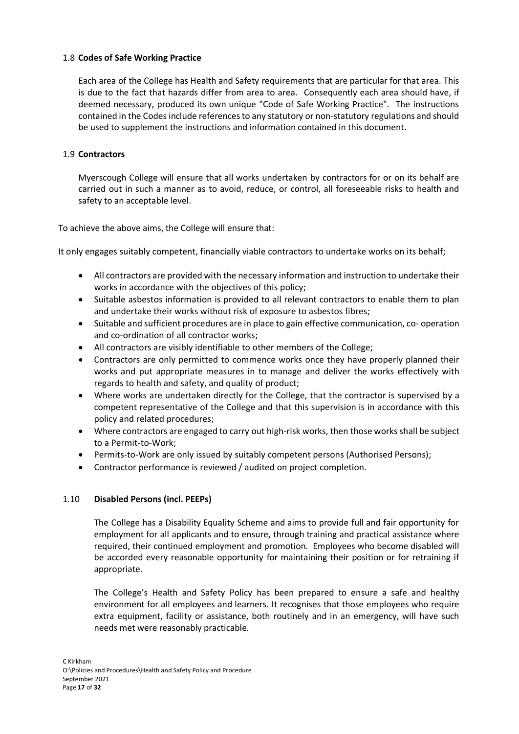# 1.8 **Codes of Safe Working Practice**

Each area of the College has Health and Safety requirements that are particular for that area. This is due to the fact that hazards differ from area to area. Consequently each area should have, if deemed necessary, produced its own unique "Code of Safe Working Practice". The instructions contained in the Codes include references to any statutory or non-statutory regulations and should be used to supplement the instructions and information contained in this document.

# 1.9 **Contractors**

Myerscough College will ensure that all works undertaken by contractors for or on its behalf are carried out in such a manner as to avoid, reduce, or control, all foreseeable risks to health and safety to an acceptable level.

To achieve the above aims, the College will ensure that:

It only engages suitably competent, financially viable contractors to undertake works on its behalf;

- All contractors are provided with the necessary information and instruction to undertake their works in accordance with the objectives of this policy;
- Suitable asbestos information is provided to all relevant contractors to enable them to plan and undertake their works without risk of exposure to asbestos fibres;
- Suitable and sufficient procedures are in place to gain effective communication, co- operation and co-ordination of all contractor works;
- All contractors are visibly identifiable to other members of the College;
- Contractors are only permitted to commence works once they have properly planned their works and put appropriate measures in to manage and deliver the works effectively with regards to health and safety, and quality of product;
- Where works are undertaken directly for the College, that the contractor is supervised by a competent representative of the College and that this supervision is in accordance with this policy and related procedures;
- Where contractors are engaged to carry out high-risk works, then those works shall be subject to a Permit-to-Work;
- Permits-to-Work are only issued by suitably competent persons (Authorised Persons);
- Contractor performance is reviewed / audited on project completion.

# 1.10 **Disabled Persons (incl. PEEPs)**

The College has a Disability Equality Scheme and aims to provide full and fair opportunity for employment for all applicants and to ensure, through training and practical assistance where required, their continued employment and promotion. Employees who become disabled will be accorded every reasonable opportunity for maintaining their position or for retraining if appropriate.

The College's Health and Safety Policy has been prepared to ensure a safe and healthy environment for all employees and learners. It recognises that those employees who require extra equipment, facility or assistance, both routinely and in an emergency, will have such needs met were reasonably practicable.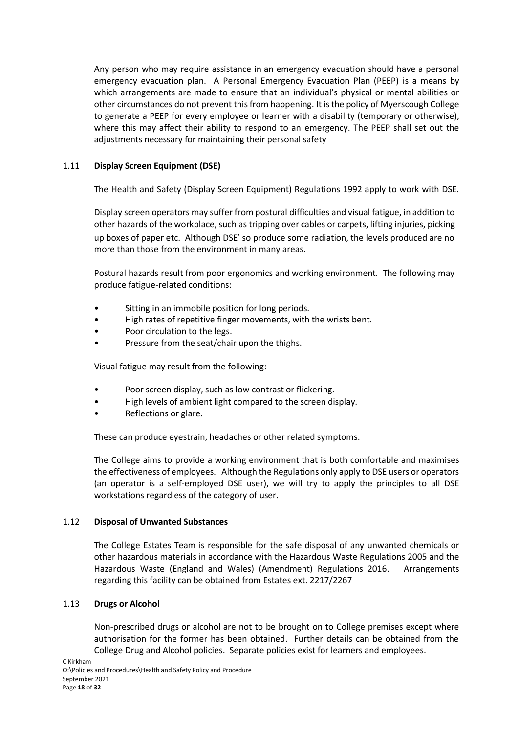Any person who may require assistance in an emergency evacuation should have a personal emergency evacuation plan. A Personal Emergency Evacuation Plan (PEEP) is a means by which arrangements are made to ensure that an individual's physical or mental abilities or other circumstances do not prevent thisfrom happening. It isthe policy of Myerscough College to generate a PEEP for every employee or learner with a disability (temporary or otherwise), where this may affect their ability to respond to an emergency. The PEEP shall set out the adjustments necessary for maintaining their personal safety

# 1.11 **Display Screen Equipment (DSE)**

The Health and Safety (Display Screen Equipment) Regulations 1992 apply to work with DSE.

Display screen operators may suffer from postural difficulties and visual fatigue, in addition to other hazards of the workplace, such as tripping over cables or carpets, lifting injuries, picking up boxes of paper etc. Although DSE' so produce some radiation, the levels produced are no more than those from the environment in many areas.

Postural hazards result from poor ergonomics and working environment. The following may produce fatigue-related conditions:

- Sitting in an immobile position for long periods.
- High rates of repetitive finger movements, with the wrists bent.
- Poor circulation to the legs.
- Pressure from the seat/chair upon the thighs.

Visual fatigue may result from the following:

- Poor screen display, such as low contrast or flickering.
- High levels of ambient light compared to the screen display.
- Reflections or glare.

These can produce eyestrain, headaches or other related symptoms.

The College aims to provide a working environment that is both comfortable and maximises the effectiveness of employees. Although the Regulations only apply to DSE users or operators (an operator is a self-employed DSE user), we will try to apply the principles to all DSE workstations regardless of the category of user.

# 1.12 **Disposal of Unwanted Substances**

The College Estates Team is responsible for the safe disposal of any unwanted chemicals or other hazardous materials in accordance with the Hazardous Waste Regulations 2005 and the Hazardous Waste (England and Wales) (Amendment) Regulations 2016. Arrangements regarding this facility can be obtained from Estates ext. 2217/2267

# 1.13 **Drugs or Alcohol**

Non-prescribed drugs or alcohol are not to be brought on to College premises except where authorisation for the former has been obtained. Further details can be obtained from the College Drug and Alcohol policies. Separate policies exist for learners and employees.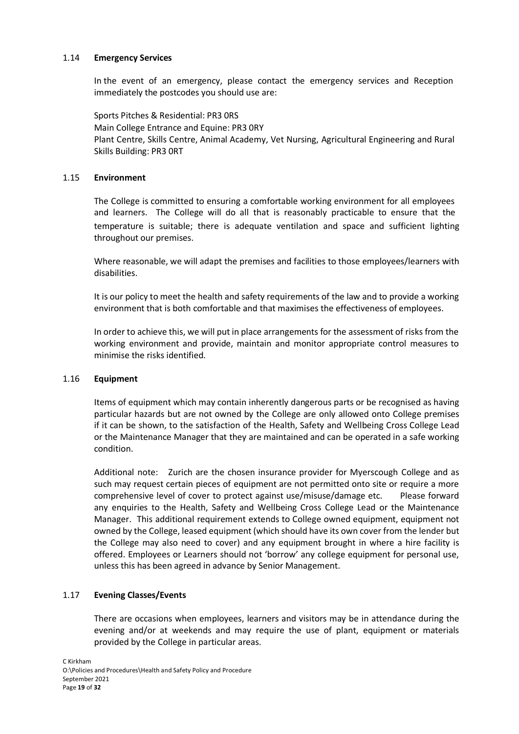# 1.14 **Emergency Services**

In the event of an emergency, please contact the emergency services and Reception immediately the postcodes you should use are:

Sports Pitches & Residential: PR3 0RS Main College Entrance and Equine: PR3 0RY Plant Centre, Skills Centre, Animal Academy, Vet Nursing, Agricultural Engineering and Rural Skills Building: PR3 0RT

# 1.15 **Environment**

The College is committed to ensuring a comfortable working environment for all employees and learners. The College will do all that is reasonably practicable to ensure that the temperature is suitable; there is adequate ventilation and space and sufficient lighting throughout our premises.

Where reasonable, we will adapt the premises and facilities to those employees/learners with disabilities.

It is our policy to meet the health and safety requirements of the law and to provide a working environment that is both comfortable and that maximises the effectiveness of employees.

In order to achieve this, we will put in place arrangements for the assessment of risks from the working environment and provide, maintain and monitor appropriate control measures to minimise the risks identified.

# 1.16 **Equipment**

Items of equipment which may contain inherently dangerous parts or be recognised as having particular hazards but are not owned by the College are only allowed onto College premises if it can be shown, to the satisfaction of the Health, Safety and Wellbeing Cross College Lead or the Maintenance Manager that they are maintained and can be operated in a safe working condition.

Additional note: Zurich are the chosen insurance provider for Myerscough College and as such may request certain pieces of equipment are not permitted onto site or require a more comprehensive level of cover to protect against use/misuse/damage etc. Please forward any enquiries to the Health, Safety and Wellbeing Cross College Lead or the Maintenance Manager. This additional requirement extends to College owned equipment, equipment not owned by the College, leased equipment (which should have its own cover from the lender but the College may also need to cover) and any equipment brought in where a hire facility is offered. Employees or Learners should not 'borrow' any college equipment for personal use, unless this has been agreed in advance by Senior Management.

# 1.17 **Evening Classes/Events**

There are occasions when employees, learners and visitors may be in attendance during the evening and/or at weekends and may require the use of plant, equipment or materials provided by the College in particular areas.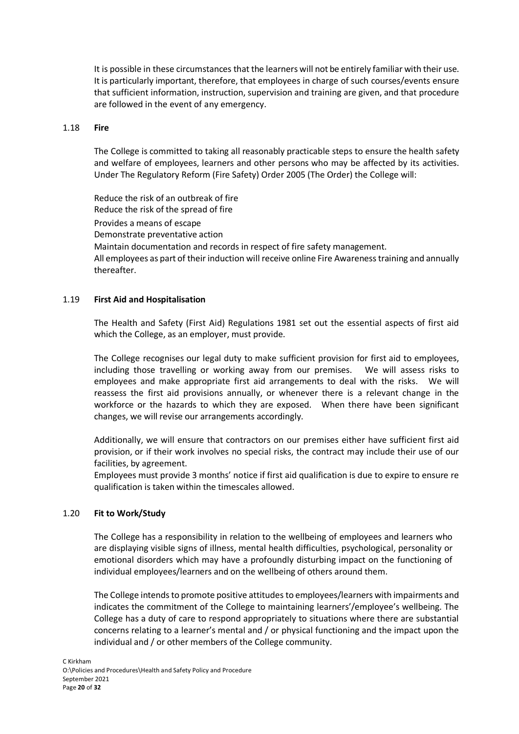It is possible in these circumstances that the learners will not be entirely familiar with their use. It is particularly important, therefore, that employees in charge of such courses/events ensure that sufficient information, instruction, supervision and training are given, and that procedure are followed in the event of any emergency.

#### 1.18 **Fire**

The College is committed to taking all reasonably practicable steps to ensure the health safety and welfare of employees, learners and other persons who may be affected by its activities. Under The Regulatory Reform (Fire Safety) Order 2005 (The Order) the College will:

Reduce the risk of an outbreak of fire Reduce the risk of the spread of fire Provides a means of escape Demonstrate preventative action Maintain documentation and records in respect of fire safety management. All employees as part of their induction will receive online Fire Awarenesstraining and annually thereafter.

# 1.19 **First Aid and Hospitalisation**

The Health and Safety (First Aid) Regulations 1981 set out the essential aspects of first aid which the College, as an employer, must provide.

The College recognises our legal duty to make sufficient provision for first aid to employees, including those travelling or working away from our premises. We will assess risks to employees and make appropriate first aid arrangements to deal with the risks. We will reassess the first aid provisions annually, or whenever there is a relevant change in the workforce or the hazards to which they are exposed. When there have been significant changes, we will revise our arrangements accordingly.

Additionally, we will ensure that contractors on our premises either have sufficient first aid provision, or if their work involves no special risks, the contract may include their use of our facilities, by agreement.

Employees must provide 3 months' notice if first aid qualification is due to expire to ensure re qualification is taken within the timescales allowed.

# 1.20 **Fit to Work/Study**

The College has a responsibility in relation to the wellbeing of employees and learners who are displaying visible signs of illness, mental health difficulties, psychological, personality or emotional disorders which may have a profoundly disturbing impact on the functioning of individual employees/learners and on the wellbeing of others around them.

The College intends to promote positive attitudes to employees/learners with impairments and indicates the commitment of the College to maintaining learners'/employee's wellbeing. The College has a duty of care to respond appropriately to situations where there are substantial concerns relating to a learner's mental and / or physical functioning and the impact upon the individual and / or other members of the College community.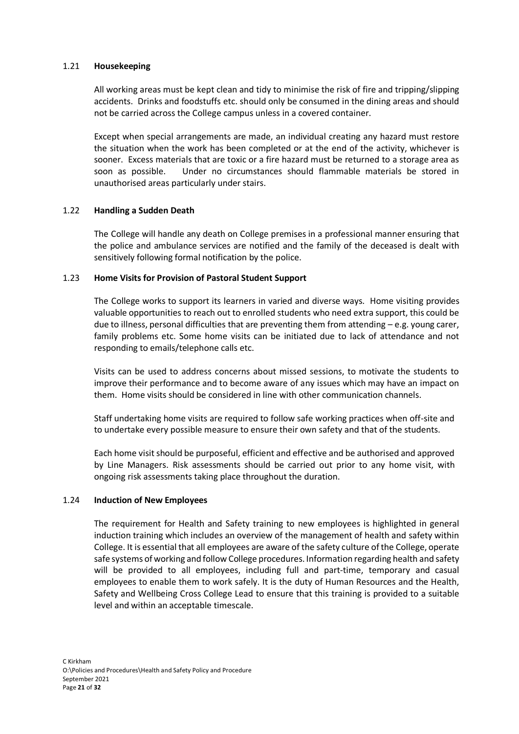# 1.21 **Housekeeping**

All working areas must be kept clean and tidy to minimise the risk of fire and tripping/slipping accidents. Drinks and foodstuffs etc. should only be consumed in the dining areas and should not be carried across the College campus unless in a covered container.

Except when special arrangements are made, an individual creating any hazard must restore the situation when the work has been completed or at the end of the activity, whichever is sooner. Excess materials that are toxic or a fire hazard must be returned to a storage area as soon as possible. Under no circumstances should flammable materials be stored in unauthorised areas particularly under stairs.

# 1.22 **Handling a Sudden Death**

The College will handle any death on College premises in a professional manner ensuring that the police and ambulance services are notified and the family of the deceased is dealt with sensitively following formal notification by the police.

# 1.23 **Home Visits for Provision of Pastoral Student Support**

The College works to support its learners in varied and diverse ways. Home visiting provides valuable opportunities to reach out to enrolled students who need extra support, this could be due to illness, personal difficulties that are preventing them from attending  $-e.g.$  young carer, family problems etc. Some home visits can be initiated due to lack of attendance and not responding to emails/telephone calls etc.

Visits can be used to address concerns about missed sessions, to motivate the students to improve their performance and to become aware of any issues which may have an impact on them. Home visits should be considered in line with other communication channels.

Staff undertaking home visits are required to follow safe working practices when off-site and to undertake every possible measure to ensure their own safety and that of the students.

Each home visit should be purposeful, efficient and effective and be authorised and approved by Line Managers. Risk assessments should be carried out prior to any home visit, with ongoing risk assessments taking place throughout the duration.

# 1.24 **Induction of New Employees**

The requirement for Health and Safety training to new employees is highlighted in general induction training which includes an overview of the management of health and safety within College. It is essential that all employees are aware of the safety culture of the College, operate safe systems of working and follow College procedures. Information regarding health and safety will be provided to all employees, including full and part-time, temporary and casual employees to enable them to work safely. It is the duty of Human Resources and the Health, Safety and Wellbeing Cross College Lead to ensure that this training is provided to a suitable level and within an acceptable timescale.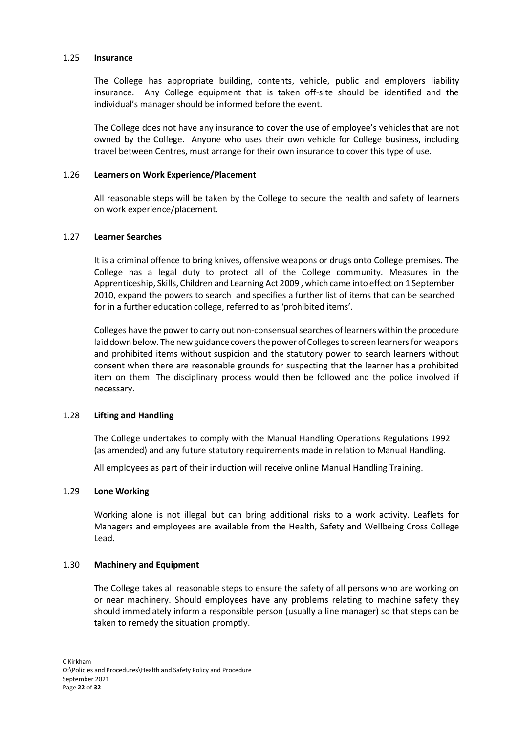#### 1.25 **Insurance**

The College has appropriate building, contents, vehicle, public and employers liability insurance. Any College equipment that is taken off-site should be identified and the individual's manager should be informed before the event.

The College does not have any insurance to cover the use of employee's vehicles that are not owned by the College. Anyone who uses their own vehicle for College business, including travel between Centres, must arrange for their own insurance to cover this type of use.

#### 1.26 **Learners on Work Experience/Placement**

All reasonable steps will be taken by the College to secure the health and safety of learners on work experience/placement.

#### 1.27 **Learner Searches**

It is a criminal offence to bring knives, offensive weapons or drugs onto College premises. The College has a legal duty to protect all of the College community. Measures in the Apprenticeship, Skills, Children and Learning Act 2009 , which came into effect on 1 September 2010, expand the powers to search and specifies a further list of items that can be searched for in a further education college, referred to as 'prohibited items'.

Colleges have the power to carry out non-consensual searches of learners within the procedure laiddownbelow. The newguidance coversthe power ofCollegesto screenlearners for weapons and prohibited items without suspicion and the statutory power to search learners without consent when there are reasonable grounds for suspecting that the learner has a prohibited item on them. The disciplinary process would then be followed and the police involved if necessary.

# 1.28 **Lifting and Handling**

The College undertakes to comply with the Manual Handling Operations Regulations 1992 (as amended) and any future statutory requirements made in relation to Manual Handling.

All employees as part of their induction will receive online Manual Handling Training.

# 1.29 **Lone Working**

Working alone is not illegal but can bring additional risks to a work activity. Leaflets for Managers and employees are available from the Health, Safety and Wellbeing Cross College Lead.

#### 1.30 **Machinery and Equipment**

The College takes all reasonable steps to ensure the safety of all persons who are working on or near machinery. Should employees have any problems relating to machine safety they should immediately inform a responsible person (usually a line manager) so that steps can be taken to remedy the situation promptly.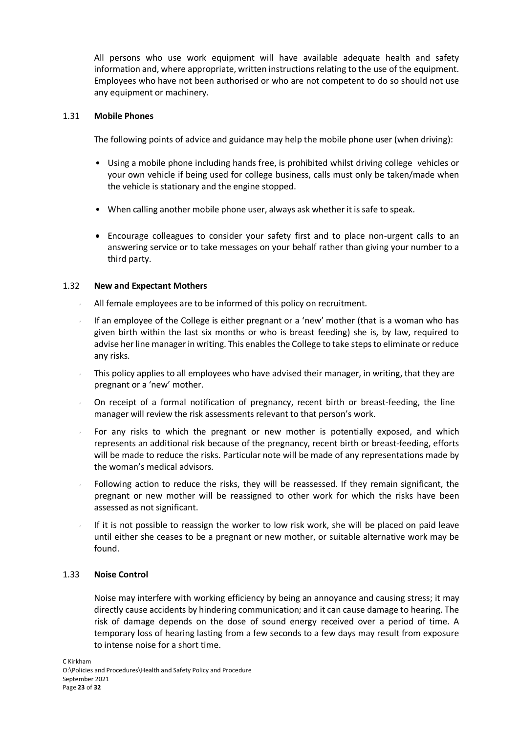All persons who use work equipment will have available adequate health and safety information and, where appropriate, written instructions relating to the use of the equipment. Employees who have not been authorised or who are not competent to do so should not use any equipment or machinery.

#### 1.31 **Mobile Phones**

The following points of advice and guidance may help the mobile phone user (when driving):

- Using a mobile phone including hands free, is prohibited whilst driving college vehicles or your own vehicle if being used for college business, calls must only be taken/made when the vehicle is stationary and the engine stopped.
- When calling another mobile phone user, always ask whether it is safe to speak.
- Encourage colleagues to consider your safety first and to place non-urgent calls to an answering service or to take messages on your behalf rather than giving your number to a third party.

# 1.32 **New and Expectant Mothers**

- All female employees are to be informed of this policy on recruitment.
- If an employee of the College is either pregnant or a 'new' mother (that is a woman who has given birth within the last six months or who is breast feeding) she is, by law, required to advise her line manager in writing. This enables the College to take steps to eliminate or reduce any risks.
- This policy applies to all employees who have advised their manager, in writing, that they are pregnant or a 'new' mother.
- On receipt of a formal notification of pregnancy, recent birth or breast-feeding, the line manager will review the risk assessments relevant to that person's work.
- For any risks to which the pregnant or new mother is potentially exposed, and which represents an additional risk because of the pregnancy, recent birth or breast-feeding, efforts will be made to reduce the risks. Particular note will be made of any representations made by the woman's medical advisors.
- Following action to reduce the risks, they will be reassessed. If they remain significant, the pregnant or new mother will be reassigned to other work for which the risks have been assessed as not significant.
- If it is not possible to reassign the worker to low risk work, she will be placed on paid leave until either she ceases to be a pregnant or new mother, or suitable alternative work may be found.

# 1.33 **Noise Control**

Noise may interfere with working efficiency by being an annoyance and causing stress; it may directly cause accidents by hindering communication; and it can cause damage to hearing. The risk of damage depends on the dose of sound energy received over a period of time. A temporary loss of hearing lasting from a few seconds to a few days may result from exposure to intense noise for a short time.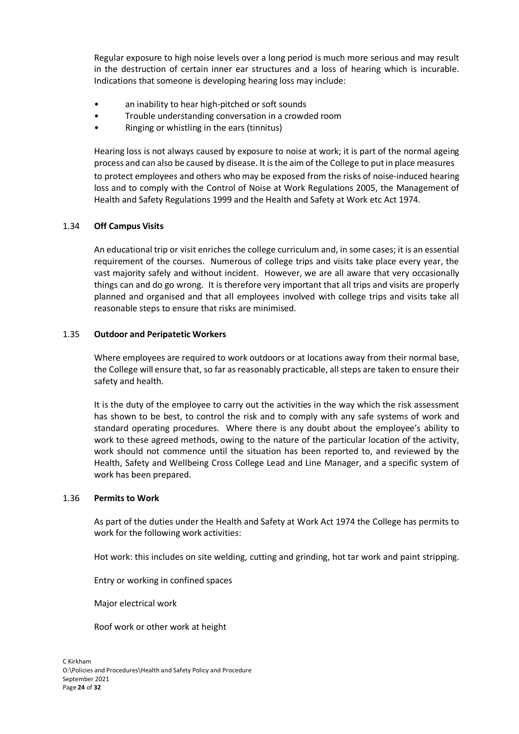Regular exposure to high noise levels over a long period is much more serious and may result in the destruction of certain inner ear structures and a loss of hearing which is incurable. Indications that someone is developing hearing loss may include:

- an inability to hear high-pitched or soft sounds
- Trouble understanding conversation in a crowded room
- Ringing or whistling in the ears (tinnitus)

Hearing loss is not always caused by exposure to noise at work; it is part of the normal ageing process and can also be caused by disease. Itisthe aim of the College to putin place measures to protect employees and others who may be exposed from the risks of noise-induced hearing loss and to comply with the Control of Noise at Work Regulations 2005, the Management of Health and Safety Regulations 1999 and the Health and Safety at Work etc Act 1974.

# 1.34 **Off Campus Visits**

An educational trip or visit enriches the college curriculum and, in some cases; it is an essential requirement of the courses. Numerous of college trips and visits take place every year, the vast majority safely and without incident. However, we are all aware that very occasionally things can and do go wrong. It is therefore very important that all trips and visits are properly planned and organised and that all employees involved with college trips and visits take all reasonable steps to ensure that risks are minimised.

# 1.35 **Outdoor and Peripatetic Workers**

Where employees are required to work outdoors or at locations away from their normal base, the College will ensure that, so far as reasonably practicable, all steps are taken to ensure their safety and health.

It is the duty of the employee to carry out the activities in the way which the risk assessment has shown to be best, to control the risk and to comply with any safe systems of work and standard operating procedures. Where there is any doubt about the employee's ability to work to these agreed methods, owing to the nature of the particular location of the activity, work should not commence until the situation has been reported to, and reviewed by the Health, Safety and Wellbeing Cross College Lead and Line Manager, and a specific system of work has been prepared.

# 1.36 **Permits to Work**

As part of the duties under the Health and Safety at Work Act 1974 the College has permits to work for the following work activities:

Hot work: this includes on site welding, cutting and grinding, hot tar work and paint stripping.

Entry or working in confined spaces

Major electrical work

Roof work or other work at height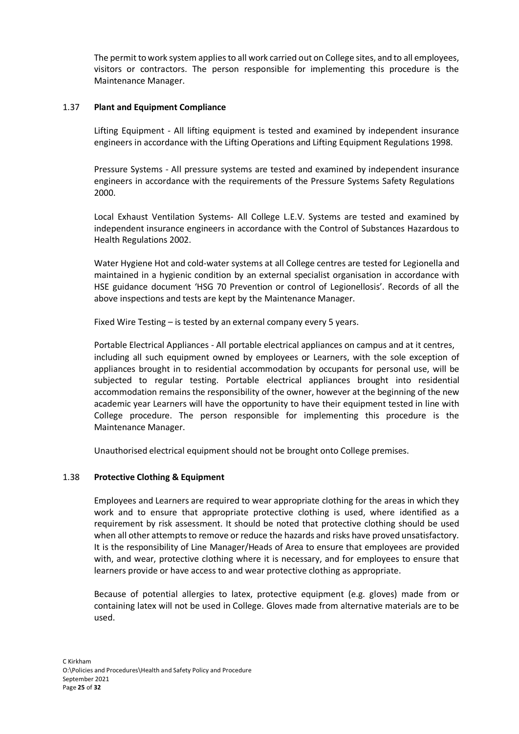The permit to work system applies to all work carried out on College sites, and to all employees, visitors or contractors. The person responsible for implementing this procedure is the Maintenance Manager.

# 1.37 **Plant and Equipment Compliance**

Lifting Equipment - All lifting equipment is tested and examined by independent insurance engineers in accordance with the Lifting Operations and Lifting Equipment Regulations 1998.

Pressure Systems - All pressure systems are tested and examined by independent insurance engineers in accordance with the requirements of the Pressure Systems Safety Regulations 2000.

Local Exhaust Ventilation Systems- All College L.E.V. Systems are tested and examined by independent insurance engineers in accordance with the Control of Substances Hazardous to Health Regulations 2002.

Water Hygiene Hot and cold-water systems at all College centres are tested for Legionella and maintained in a hygienic condition by an external specialist organisation in accordance with HSE guidance document 'HSG 70 Prevention or control of Legionellosis'. Records of all the above inspections and tests are kept by the Maintenance Manager.

Fixed Wire Testing – is tested by an external company every 5 years.

Portable Electrical Appliances - All portable electrical appliances on campus and at it centres, including all such equipment owned by employees or Learners, with the sole exception of appliances brought in to residential accommodation by occupants for personal use, will be subjected to regular testing. Portable electrical appliances brought into residential accommodation remains the responsibility of the owner, however at the beginning of the new academic year Learners will have the opportunity to have their equipment tested in line with College procedure. The person responsible for implementing this procedure is the Maintenance Manager.

Unauthorised electrical equipment should not be brought onto College premises.

# 1.38 **Protective Clothing & Equipment**

Employees and Learners are required to wear appropriate clothing for the areas in which they work and to ensure that appropriate protective clothing is used, where identified as a requirement by risk assessment. It should be noted that protective clothing should be used when all other attempts to remove or reduce the hazards and risks have proved unsatisfactory. It is the responsibility of Line Manager/Heads of Area to ensure that employees are provided with, and wear, protective clothing where it is necessary, and for employees to ensure that learners provide or have access to and wear protective clothing as appropriate.

Because of potential allergies to latex, protective equipment (e.g. gloves) made from or containing latex will not be used in College. Gloves made from alternative materials are to be used.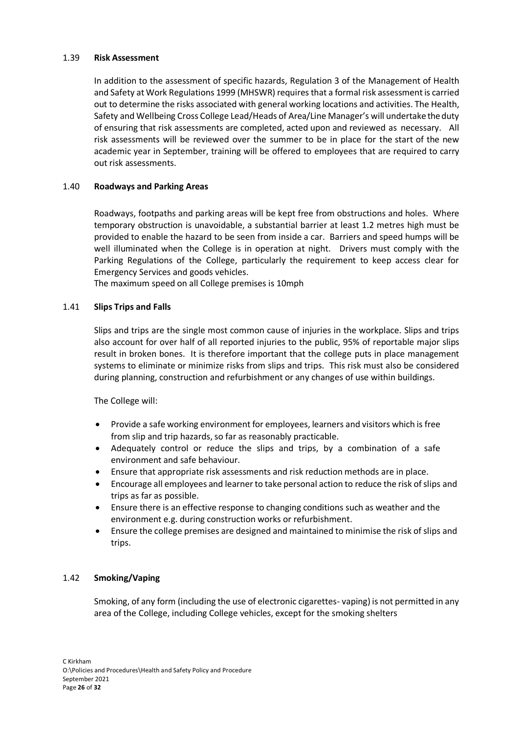# 1.39 **Risk Assessment**

In addition to the assessment of specific hazards, Regulation 3 of the Management of Health and Safety at Work Regulations 1999 (MHSWR) requires that a formal risk assessmentis carried out to determine the risks associated with general working locations and activities. The Health, Safety and Wellbeing Cross College Lead/Heads of Area/Line Manager's will undertake the duty of ensuring that risk assessments are completed, acted upon and reviewed as necessary. All risk assessments will be reviewed over the summer to be in place for the start of the new academic year in September, training will be offered to employees that are required to carry out risk assessments.

# 1.40 **Roadways and Parking Areas**

Roadways, footpaths and parking areas will be kept free from obstructions and holes. Where temporary obstruction is unavoidable, a substantial barrier at least 1.2 metres high must be provided to enable the hazard to be seen from inside a car. Barriers and speed humps will be well illuminated when the College is in operation at night. Drivers must comply with the Parking Regulations of the College, particularly the requirement to keep access clear for Emergency Services and goods vehicles.

The maximum speed on all College premises is 10mph

# 1.41 **Slips Trips and Falls**

Slips and trips are the single most common cause of injuries in the workplace. Slips and trips also account for over half of all reported injuries to the public, 95% of reportable major slips result in broken bones. It is therefore important that the college puts in place management systems to eliminate or minimize risks from slips and trips. This risk must also be considered during planning, construction and refurbishment or any changes of use within buildings.

The College will:

- Provide a safe working environment for employees, learners and visitors which is free from slip and trip hazards, so far as reasonably practicable.
- Adequately control or reduce the slips and trips, by a combination of a safe environment and safe behaviour.
- Ensure that appropriate risk assessments and risk reduction methods are in place.
- Encourage all employees and learnerto take personal action to reduce the risk ofslips and trips as far as possible.
- Ensure there is an effective response to changing conditions such as weather and the environment e.g. during construction works or refurbishment.
- Ensure the college premises are designed and maintained to minimise the risk ofslips and trips.

# 1.42 **Smoking/Vaping**

Smoking, of any form (including the use of electronic cigarettes- vaping) is not permitted in any area of the College, including College vehicles, except for the smoking shelters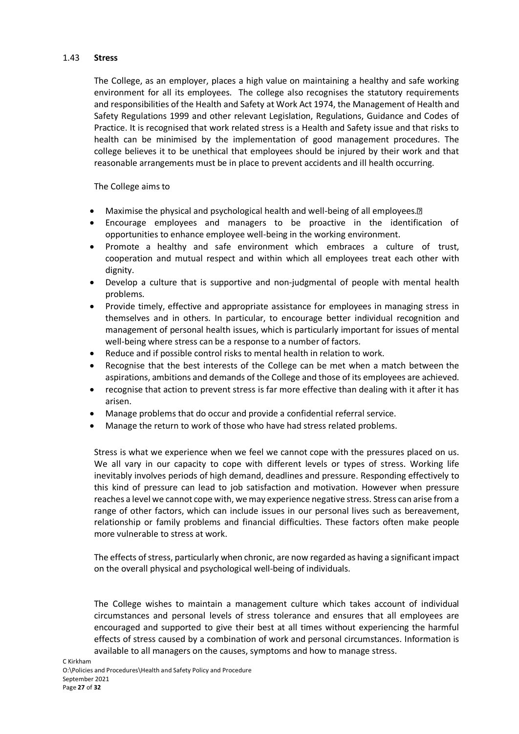# 1.43 **Stress**

The College, as an employer, places a high value on maintaining a healthy and safe working environment for all its employees. The college also recognises the statutory requirements and responsibilities of the Health and Safety at Work Act 1974, the Management of Health and Safety Regulations 1999 and other relevant Legislation, Regulations, Guidance and Codes of Practice. It is recognised that work related stress is a Health and Safety issue and that risks to health can be minimised by the implementation of good management procedures. The college believes it to be unethical that employees should be injured by their work and that reasonable arrangements must be in place to prevent accidents and ill health occurring.

The College aims to

- Maximise the physical and psychological health and well-being of all employees.<sup>[7]</sup>
- Encourage employees and managers to be proactive in the identification of opportunities to enhance employee well-being in the working environment.
- Promote a healthy and safe environment which embraces a culture of trust, cooperation and mutual respect and within which all employees treat each other with dignity.
- Develop a culture that is supportive and non-judgmental of people with mental health problems.
- Provide timely, effective and appropriate assistance for employees in managing stress in themselves and in others. In particular, to encourage better individual recognition and management of personal health issues, which is particularly important for issues of mental well-being where stress can be a response to a number of factors.
- Reduce and if possible control risks to mental health in relation to work.
- Recognise that the best interests of the College can be met when a match between the aspirations, ambitions and demands of the College and those of its employees are achieved.
- recognise that action to prevent stress is far more effective than dealing with it after it has arisen.
- Manage problems that do occur and provide a confidential referral service.
- Manage the return to work of those who have had stress related problems.

Stress is what we experience when we feel we cannot cope with the pressures placed on us. We all vary in our capacity to cope with different levels or types of stress. Working life inevitably involves periods of high demand, deadlines and pressure. Responding effectively to this kind of pressure can lead to job satisfaction and motivation. However when pressure reaches a level we cannot cope with, wemay experience negative stress. Stress can arise from a range of other factors, which can include issues in our personal lives such as bereavement, relationship or family problems and financial difficulties. These factors often make people more vulnerable to stress at work.

The effects of stress, particularly when chronic, are now regarded as having a significant impact on the overall physical and psychological well-being of individuals.

The College wishes to maintain a management culture which takes account of individual circumstances and personal levels of stress tolerance and ensures that all employees are encouraged and supported to give their best at all times without experiencing the harmful effects of stress caused by a combination of work and personal circumstances. Information is available to all managers on the causes, symptoms and how to manage stress.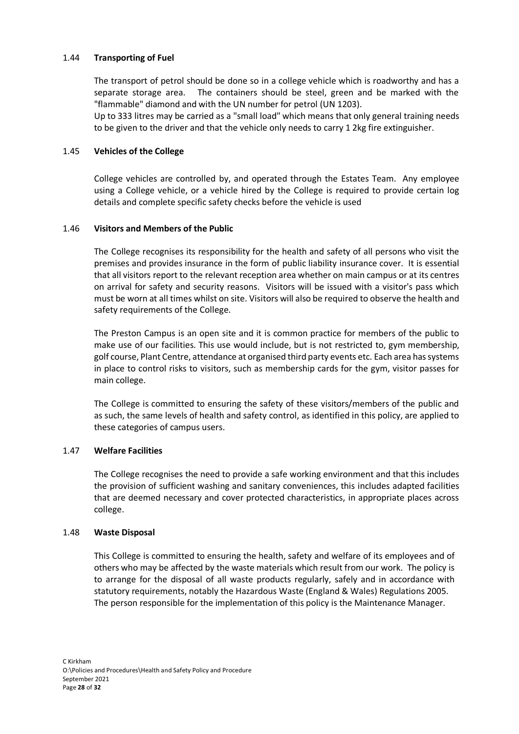# 1.44 **Transporting of Fuel**

The transport of petrol should be done so in a college vehicle which is roadworthy and has a separate storage area. The containers should be steel, green and be marked with the "flammable" diamond and with the UN number for petrol (UN 1203).

Up to 333 litres may be carried as a "small load" which means that only general training needs to be given to the driver and that the vehicle only needs to carry 1 2kg fire extinguisher.

# 1.45 **Vehicles of the College**

College vehicles are controlled by, and operated through the Estates Team. Any employee using a College vehicle, or a vehicle hired by the College is required to provide certain log details and complete specific safety checks before the vehicle is used

# 1.46 **Visitors and Members of the Public**

The College recognises its responsibility for the health and safety of all persons who visit the premises and provides insurance in the form of public liability insurance cover. It is essential that all visitors report to the relevant reception area whether on main campus or at its centres on arrival for safety and security reasons. Visitors will be issued with a visitor's pass which must be worn at all times whilst on site. Visitors will also be required to observe the health and safety requirements of the College.

The Preston Campus is an open site and it is common practice for members of the public to make use of our facilities. This use would include, but is not restricted to, gym membership, golf course, Plant Centre, attendance at organised third party events etc. Each area has systems in place to control risks to visitors, such as membership cards for the gym, visitor passes for main college.

The College is committed to ensuring the safety of these visitors/members of the public and as such, the same levels of health and safety control, as identified in this policy, are applied to these categories of campus users.

# 1.47 **Welfare Facilities**

The College recognises the need to provide a safe working environment and that this includes the provision of sufficient washing and sanitary conveniences, this includes adapted facilities that are deemed necessary and cover protected characteristics, in appropriate places across college.

# 1.48 **Waste Disposal**

This College is committed to ensuring the health, safety and welfare of its employees and of others who may be affected by the waste materials which result from our work. The policy is to arrange for the disposal of all waste products regularly, safely and in accordance with statutory requirements, notably the Hazardous Waste (England & Wales) Regulations 2005. The person responsible for the implementation of this policy is the Maintenance Manager.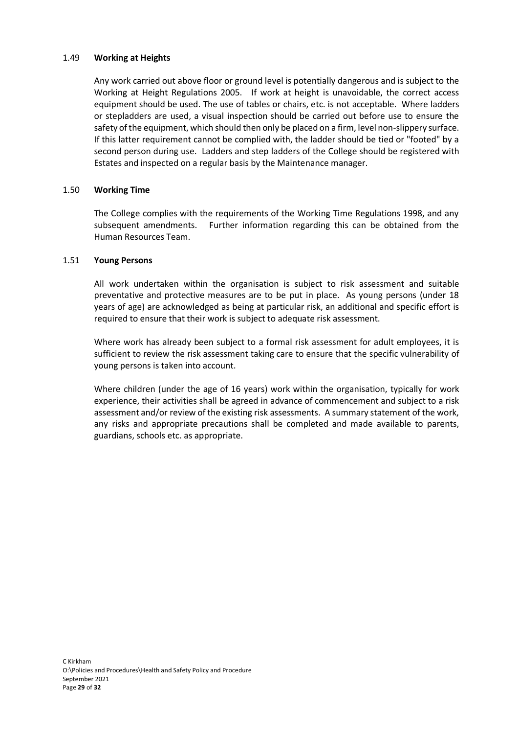# 1.49 **Working at Heights**

Any work carried out above floor or ground level is potentially dangerous and is subject to the Working at Height Regulations 2005. If work at height is unavoidable, the correct access equipment should be used. The use of tables or chairs, etc. is not acceptable. Where ladders or stepladders are used, a visual inspection should be carried out before use to ensure the safety of the equipment, which should then only be placed on a firm, level non-slippery surface. If this latter requirement cannot be complied with, the ladder should be tied or "footed" by a second person during use. Ladders and step ladders of the College should be registered with Estates and inspected on a regular basis by the Maintenance manager.

# 1.50 **Working Time**

The College complies with the requirements of the Working Time Regulations 1998, and any subsequent amendments. Further information regarding this can be obtained from the Human Resources Team.

# 1.51 **Young Persons**

All work undertaken within the organisation is subject to risk assessment and suitable preventative and protective measures are to be put in place. As young persons (under 18 years of age) are acknowledged as being at particular risk, an additional and specific effort is required to ensure that their work is subject to adequate risk assessment.

Where work has already been subject to a formal risk assessment for adult employees, it is sufficient to review the risk assessment taking care to ensure that the specific vulnerability of young persons is taken into account.

Where children (under the age of 16 years) work within the organisation, typically for work experience, their activities shall be agreed in advance of commencement and subject to a risk assessment and/or review of the existing risk assessments. A summary statement of the work, any risks and appropriate precautions shall be completed and made available to parents, guardians, schools etc. as appropriate.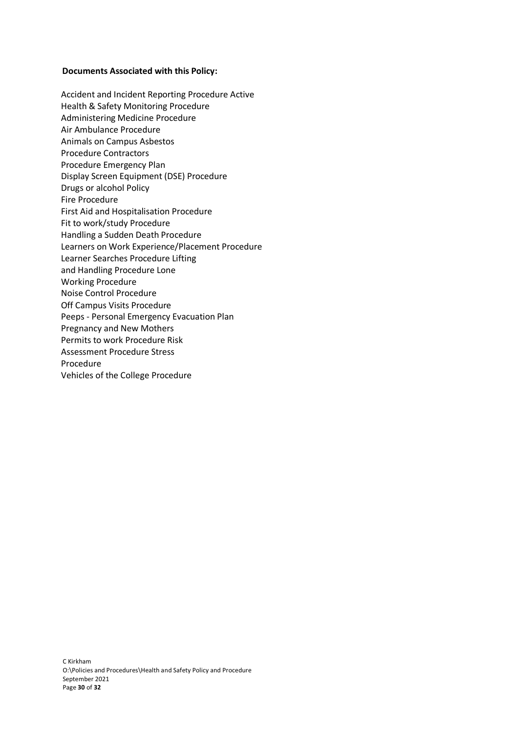# **Documents Associated with this Policy:**

- Accident and Incident Reporting Procedure Active Health & Safety Monitoring Procedure Administering Medicine Procedure Air Ambulance Procedure Animals on Campus Asbestos Procedure Contractors Procedure Emergency Plan Display Screen Equipment (DSE) Procedure Drugs or alcohol Policy Fire Procedure First Aid and Hospitalisation Procedure Fit to work/study Procedure Handling a Sudden Death Procedure Learners on Work Experience/Placement Procedure Learner Searches Procedure Lifting and Handling Procedure Lone Working Procedure Noise Control Procedure Off Campus Visits Procedure Peeps - Personal Emergency Evacuation Plan Pregnancy and New Mothers Permits to work Procedure Risk Assessment Procedure Stress Procedure
- Vehicles of the College Procedure